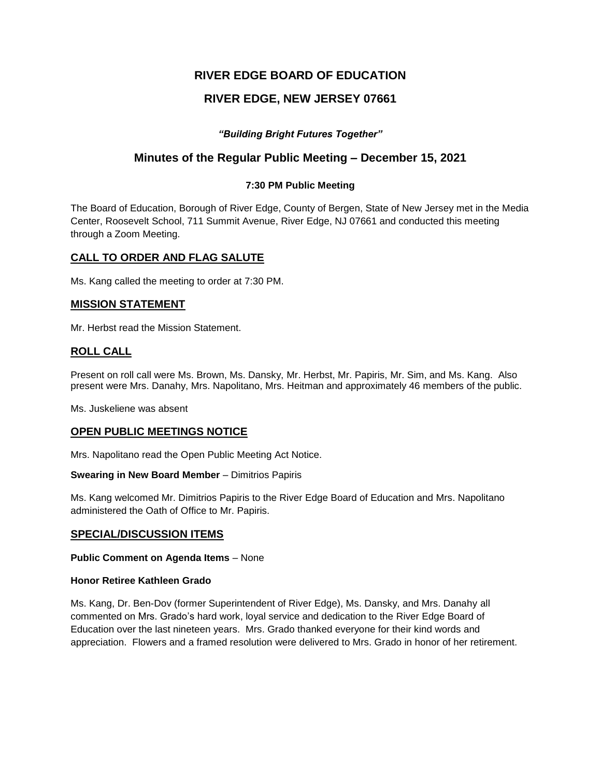# **RIVER EDGE BOARD OF EDUCATION**

# **RIVER EDGE, NEW JERSEY 07661**

## *"Building Bright Futures Together"*

## **Minutes of the Regular Public Meeting – December 15, 2021**

### **7:30 PM Public Meeting**

The Board of Education, Borough of River Edge, County of Bergen, State of New Jersey met in the Media Center, Roosevelt School, 711 Summit Avenue, River Edge, NJ 07661 and conducted this meeting through a Zoom Meeting.

## **CALL TO ORDER AND FLAG SALUTE**

Ms. Kang called the meeting to order at 7:30 PM.

## **MISSION STATEMENT**

Mr. Herbst read the Mission Statement.

## **ROLL CALL**

Present on roll call were Ms. Brown, Ms. Dansky, Mr. Herbst, Mr. Papiris, Mr. Sim, and Ms. Kang. Also present were Mrs. Danahy, Mrs. Napolitano, Mrs. Heitman and approximately 46 members of the public.

Ms. Juskeliene was absent

### **OPEN PUBLIC MEETINGS NOTICE**

Mrs. Napolitano read the Open Public Meeting Act Notice.

**Swearing in New Board Member** – Dimitrios Papiris

Ms. Kang welcomed Mr. Dimitrios Papiris to the River Edge Board of Education and Mrs. Napolitano administered the Oath of Office to Mr. Papiris.

### **SPECIAL/DISCUSSION ITEMS**

#### **Public Comment on Agenda Items** – None

#### **Honor Retiree Kathleen Grado**

Ms. Kang, Dr. Ben-Dov (former Superintendent of River Edge), Ms. Dansky, and Mrs. Danahy all commented on Mrs. Grado's hard work, loyal service and dedication to the River Edge Board of Education over the last nineteen years.Mrs. Grado thanked everyone for their kind words and appreciation. Flowers and a framed resolution were delivered to Mrs. Grado in honor of her retirement.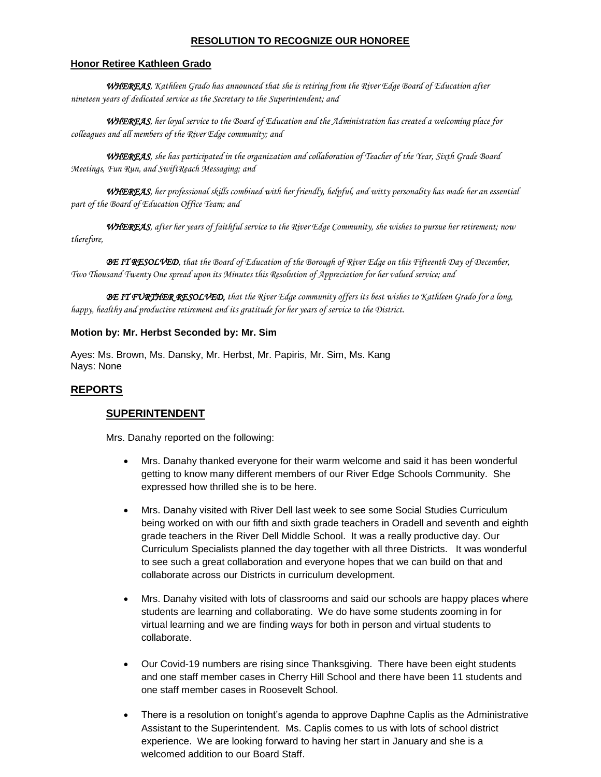### **RESOLUTION TO RECOGNIZE OUR HONOREE**

#### **Honor Retiree Kathleen Grado**

*WHEREAS, Kathleen Grado has announced that she is retiring from the River Edge Board of Education after nineteen years of dedicated service as the Secretary to the Superintendent; and*

*WHEREAS, her loyal service to the Board of Education and the Administration has created a welcoming place for colleagues and all members of the River Edge community; and*

*WHEREAS, she has participated in the organization and collaboration of Teacher of the Year, Sixth Grade Board Meetings, Fun Run, and SwiftReach Messaging; and*

*WHEREAS, her professional skills combined with her friendly, helpful, and witty personality has made her an essential part of the Board of Education Office Team; and*

*WHEREAS, after her years of faithful service to the River Edge Community, she wishes to pursue her retirement; now therefore,*

*BE IT RESOLVED, that the Board of Education of the Borough of River Edge on this Fifteenth Day of December, Two Thousand Twenty One spread upon its Minutes this Resolution of Appreciation for her valued service; and*

*BE IT FURTHER RESOLVED, that the River Edge community offers its best wishes to Kathleen Grado for a long, happy, healthy and productive retirement and its gratitude for her years of service to the District.*

#### **Motion by: Mr. Herbst Seconded by: Mr. Sim**

Ayes: Ms. Brown, Ms. Dansky, Mr. Herbst, Mr. Papiris, Mr. Sim, Ms. Kang Nays: None

## **REPORTS**

## **SUPERINTENDENT**

Mrs. Danahy reported on the following:

- Mrs. Danahy thanked everyone for their warm welcome and said it has been wonderful getting to know many different members of our River Edge Schools Community. She expressed how thrilled she is to be here.
- Mrs. Danahy visited with River Dell last week to see some Social Studies Curriculum being worked on with our fifth and sixth grade teachers in Oradell and seventh and eighth grade teachers in the River Dell Middle School. It was a really productive day. Our Curriculum Specialists planned the day together with all three Districts. It was wonderful to see such a great collaboration and everyone hopes that we can build on that and collaborate across our Districts in curriculum development.
- Mrs. Danahy visited with lots of classrooms and said our schools are happy places where students are learning and collaborating. We do have some students zooming in for virtual learning and we are finding ways for both in person and virtual students to collaborate.
- Our Covid-19 numbers are rising since Thanksgiving. There have been eight students and one staff member cases in Cherry Hill School and there have been 11 students and one staff member cases in Roosevelt School.
- There is a resolution on tonight's agenda to approve Daphne Caplis as the Administrative Assistant to the Superintendent. Ms. Caplis comes to us with lots of school district experience. We are looking forward to having her start in January and she is a welcomed addition to our Board Staff.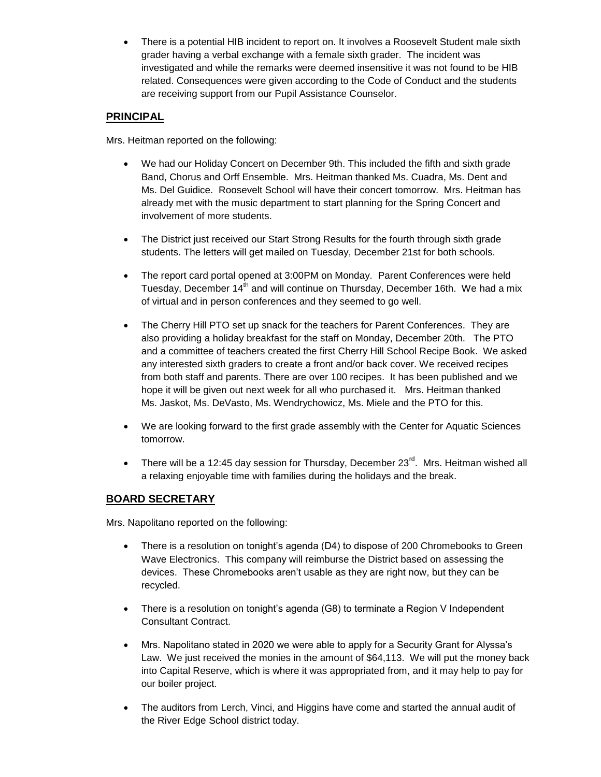There is a potential HIB incident to report on. It involves a Roosevelt Student male sixth grader having a verbal exchange with a female sixth grader. The incident was investigated and while the remarks were deemed insensitive it was not found to be HIB related. Consequences were given according to the Code of Conduct and the students are receiving support from our Pupil Assistance Counselor.

## **PRINCIPAL**

Mrs. Heitman reported on the following:

- We had our Holiday Concert on December 9th. This included the fifth and sixth grade Band, Chorus and Orff Ensemble. Mrs. Heitman thanked Ms. Cuadra, Ms. Dent and Ms. Del Guidice. Roosevelt School will have their concert tomorrow. Mrs. Heitman has already met with the music department to start planning for the Spring Concert and involvement of more students.
- The District just received our Start Strong Results for the fourth through sixth grade students. The letters will get mailed on Tuesday, December 21st for both schools.
- The report card portal opened at 3:00PM on Monday. Parent Conferences were held Tuesday, December 14<sup>th</sup> and will continue on Thursday, December 16th. We had a mix of virtual and in person conferences and they seemed to go well.
- The Cherry Hill PTO set up snack for the teachers for Parent Conferences. They are also providing a holiday breakfast for the staff on Monday, December 20th. The PTO and a committee of teachers created the first Cherry Hill School Recipe Book. We asked any interested sixth graders to create a front and/or back cover. We received recipes from both staff and parents. There are over 100 recipes. It has been published and we hope it will be given out next week for all who purchased it. Mrs. Heitman thanked Ms. Jaskot, Ms. DeVasto, Ms. Wendrychowicz, Ms. Miele and the PTO for this.
- We are looking forward to the first grade assembly with the Center for Aquatic Sciences tomorrow.
- There will be a 12:45 day session for Thursday, December  $23^{\text{rd}}$ . Mrs. Heitman wished all a relaxing enjoyable time with families during the holidays and the break.

# **BOARD SECRETARY**

Mrs. Napolitano reported on the following:

- There is a resolution on tonight's agenda (D4) to dispose of 200 Chromebooks to Green Wave Electronics. This company will reimburse the District based on assessing the devices. These Chromebooks aren't usable as they are right now, but they can be recycled.
- There is a resolution on tonight's agenda (G8) to terminate a Region V Independent Consultant Contract.
- Mrs. Napolitano stated in 2020 we were able to apply for a Security Grant for Alyssa's Law. We just received the monies in the amount of \$64,113. We will put the money back into Capital Reserve, which is where it was appropriated from, and it may help to pay for our boiler project.
- The auditors from Lerch, Vinci, and Higgins have come and started the annual audit of the River Edge School district today.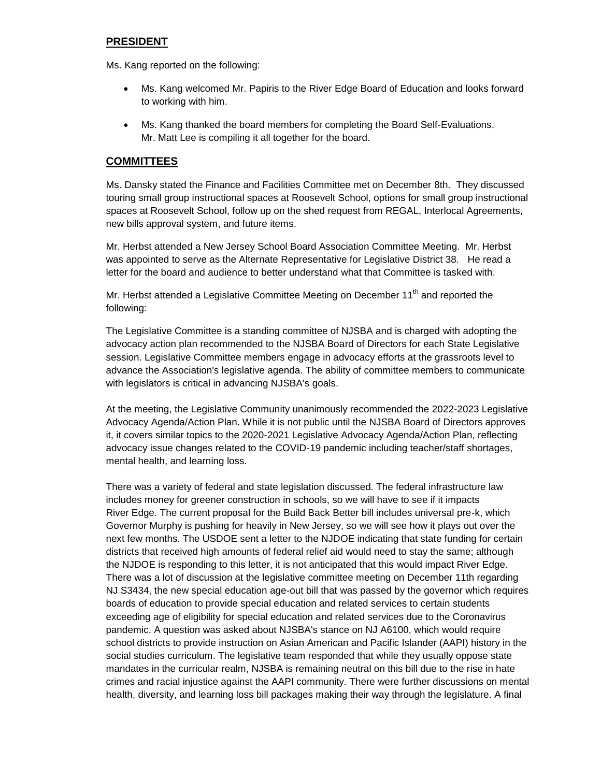## **PRESIDENT**

Ms. Kang reported on the following:

- Ms. Kang welcomed Mr. Papiris to the River Edge Board of Education and looks forward to working with him.
- Ms. Kang thanked the board members for completing the Board Self-Evaluations. Mr. Matt Lee is compiling it all together for the board.

## **COMMITTEES**

Ms. Dansky stated the Finance and Facilities Committee met on December 8th. They discussed touring small group instructional spaces at Roosevelt School, options for small group instructional spaces at Roosevelt School, follow up on the shed request from REGAL, Interlocal Agreements, new bills approval system, and future items.

Mr. Herbst attended a New Jersey School Board Association Committee Meeting. Mr. Herbst was appointed to serve as the Alternate Representative for Legislative District 38. He read a letter for the board and audience to better understand what that Committee is tasked with.

Mr. Herbst attended a Legislative Committee Meeting on December 11<sup>th</sup> and reported the following:

The Legislative Committee is a standing committee of NJSBA and is charged with adopting the advocacy action plan recommended to the NJSBA Board of Directors for each State Legislative session. Legislative Committee members engage in advocacy efforts at the grassroots level to advance the Association's legislative agenda. The ability of committee members to communicate with legislators is critical in advancing NJSBA's goals.

At the meeting, the Legislative Community unanimously recommended the 2022-2023 Legislative Advocacy Agenda/Action Plan. While it is not public until the NJSBA Board of Directors approves it, it covers similar topics to the 2020-2021 Legislative Advocacy Agenda/Action Plan, reflecting advocacy issue changes related to the COVID-19 pandemic including teacher/staff shortages, mental health, and learning loss.

There was a variety of federal and state legislation discussed. The federal infrastructure law includes money for greener construction in schools, so we will have to see if it impacts River Edge. The current proposal for the Build Back Better bill includes universal pre-k, which Governor Murphy is pushing for heavily in New Jersey, so we will see how it plays out over the next few months. The USDOE sent a letter to the NJDOE indicating that state funding for certain districts that received high amounts of federal relief aid would need to stay the same; although the NJDOE is responding to this letter, it is not anticipated that this would impact River Edge. There was a lot of discussion at the legislative committee meeting on December 11th regarding NJ S3434, the new special education age-out bill that was passed by the governor which requires boards of education to provide special education and related services to certain students exceeding age of eligibility for special education and related services due to the Coronavirus pandemic. A question was asked about NJSBA's stance on NJ A6100, which would require school districts to provide instruction on Asian American and Pacific Islander (AAPI) history in the social studies curriculum. The legislative team responded that while they usually oppose state mandates in the curricular realm, NJSBA is remaining neutral on this bill due to the rise in hate crimes and racial injustice against the AAPI community. There were further discussions on mental health, diversity, and learning loss bill packages making their way through the legislature. A final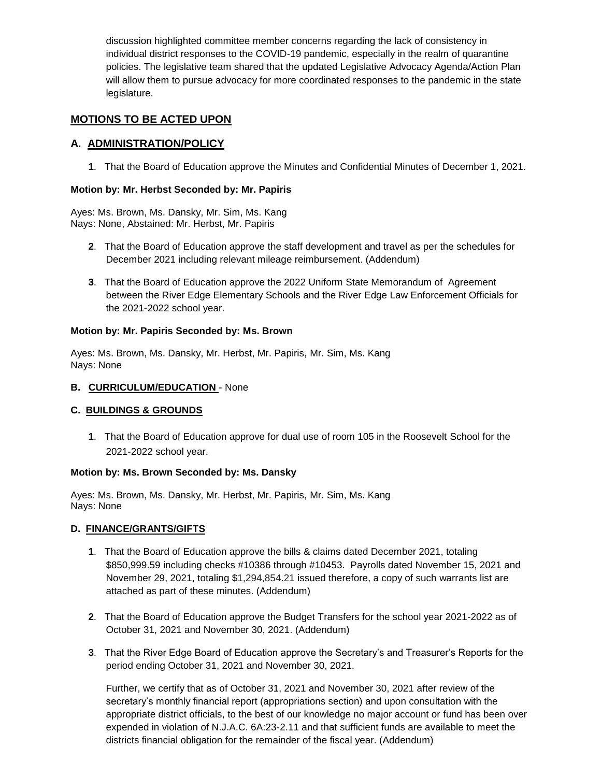discussion highlighted committee member concerns regarding the lack of consistency in individual district responses to the COVID-19 pandemic, especially in the realm of quarantine policies. The legislative team shared that the updated Legislative Advocacy Agenda/Action Plan will allow them to pursue advocacy for more coordinated responses to the pandemic in the state legislature.

## **MOTIONS TO BE ACTED UPON**

## **A. ADMINISTRATION/POLICY**

**1**. That the Board of Education approve the Minutes and Confidential Minutes of December 1, 2021.

#### **Motion by: Mr. Herbst Seconded by: Mr. Papiris**

Ayes: Ms. Brown, Ms. Dansky, Mr. Sim, Ms. Kang Nays: None, Abstained: Mr. Herbst, Mr. Papiris

- **2**. That the Board of Education approve the staff development and travel as per the schedules for December 2021 including relevant mileage reimbursement. (Addendum)
- **3**. That the Board of Education approve the 2022 Uniform State Memorandum of Agreement between the River Edge Elementary Schools and the River Edge Law Enforcement Officials for the 2021-2022 school year.

#### **Motion by: Mr. Papiris Seconded by: Ms. Brown**

Ayes: Ms. Brown, Ms. Dansky, Mr. Herbst, Mr. Papiris, Mr. Sim, Ms. Kang Nays: None

#### **B. CURRICULUM/EDUCATION** - None

### **C. BUILDINGS & GROUNDS**

**1**. That the Board of Education approve for dual use of room 105 in the Roosevelt School for the 2021-2022 school year.

#### **Motion by: Ms. Brown Seconded by: Ms. Dansky**

Ayes: Ms. Brown, Ms. Dansky, Mr. Herbst, Mr. Papiris, Mr. Sim, Ms. Kang Nays: None

### **D. FINANCE/GRANTS/GIFTS**

- **1**. That the Board of Education approve the bills & claims dated December 2021, totaling \$850,999.59 including checks #10386 through #10453. Payrolls dated November 15, 2021 and November 29, 2021, totaling \$1,294,854.21 issued therefore, a copy of such warrants list are attached as part of these minutes. (Addendum)
- **2**. That the Board of Education approve the Budget Transfers for the school year 2021-2022 as of October 31, 2021 and November 30, 2021. (Addendum)
- **3**. That the River Edge Board of Education approve the Secretary's and Treasurer's Reports for the period ending October 31, 2021 and November 30, 2021.

Further, we certify that as of October 31, 2021 and November 30, 2021 after review of the secretary's monthly financial report (appropriations section) and upon consultation with the appropriate district officials, to the best of our knowledge no major account or fund has been over expended in violation of N.J.A.C. 6A:23-2.11 and that sufficient funds are available to meet the districts financial obligation for the remainder of the fiscal year. (Addendum)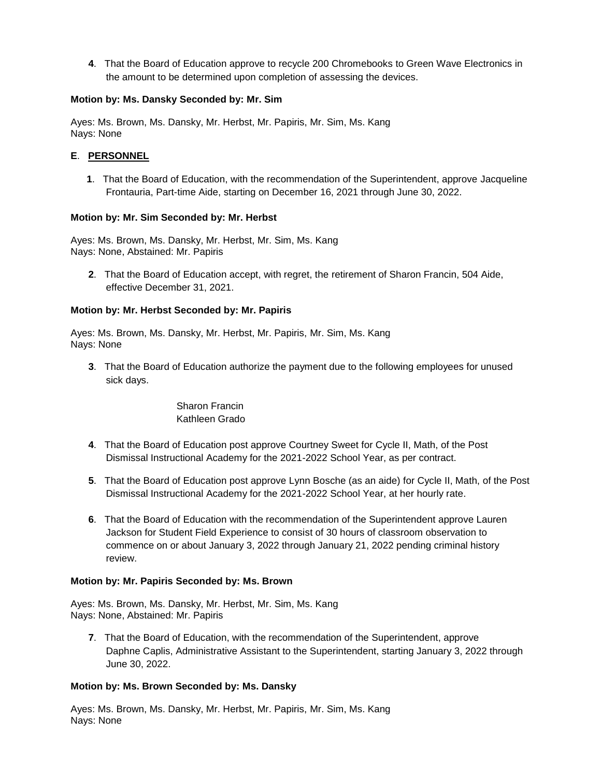**4**. That the Board of Education approve to recycle 200 Chromebooks to Green Wave Electronics in the amount to be determined upon completion of assessing the devices.

### **Motion by: Ms. Dansky Seconded by: Mr. Sim**

Ayes: Ms. Brown, Ms. Dansky, Mr. Herbst, Mr. Papiris, Mr. Sim, Ms. Kang Nays: None

## **E**. **PERSONNEL**

**1**. That the Board of Education, with the recommendation of the Superintendent, approve Jacqueline Frontauria, Part-time Aide, starting on December 16, 2021 through June 30, 2022.

### **Motion by: Mr. Sim Seconded by: Mr. Herbst**

Ayes: Ms. Brown, Ms. Dansky, Mr. Herbst, Mr. Sim, Ms. Kang Nays: None, Abstained: Mr. Papiris

**2**. That the Board of Education accept, with regret, the retirement of Sharon Francin, 504 Aide, effective December 31, 2021.

### **Motion by: Mr. Herbst Seconded by: Mr. Papiris**

Ayes: Ms. Brown, Ms. Dansky, Mr. Herbst, Mr. Papiris, Mr. Sim, Ms. Kang Nays: None

**3**. That the Board of Education authorize the payment due to the following employees for unused sick days.

## Sharon Francin Kathleen Grado

- **4**. That the Board of Education post approve Courtney Sweet for Cycle II, Math, of the Post Dismissal Instructional Academy for the 2021-2022 School Year, as per contract.
- **5**. That the Board of Education post approve Lynn Bosche (as an aide) for Cycle II, Math, of the Post Dismissal Instructional Academy for the 2021-2022 School Year, at her hourly rate.
- **6**. That the Board of Education with the recommendation of the Superintendent approve Lauren Jackson for Student Field Experience to consist of 30 hours of classroom observation to commence on or about January 3, 2022 through January 21, 2022 pending criminal history review.

### **Motion by: Mr. Papiris Seconded by: Ms. Brown**

Ayes: Ms. Brown, Ms. Dansky, Mr. Herbst, Mr. Sim, Ms. Kang Nays: None, Abstained: Mr. Papiris

**7**. That the Board of Education, with the recommendation of the Superintendent, approve Daphne Caplis, Administrative Assistant to the Superintendent, starting January 3, 2022 through June 30, 2022.

### **Motion by: Ms. Brown Seconded by: Ms. Dansky**

Ayes: Ms. Brown, Ms. Dansky, Mr. Herbst, Mr. Papiris, Mr. Sim, Ms. Kang Nays: None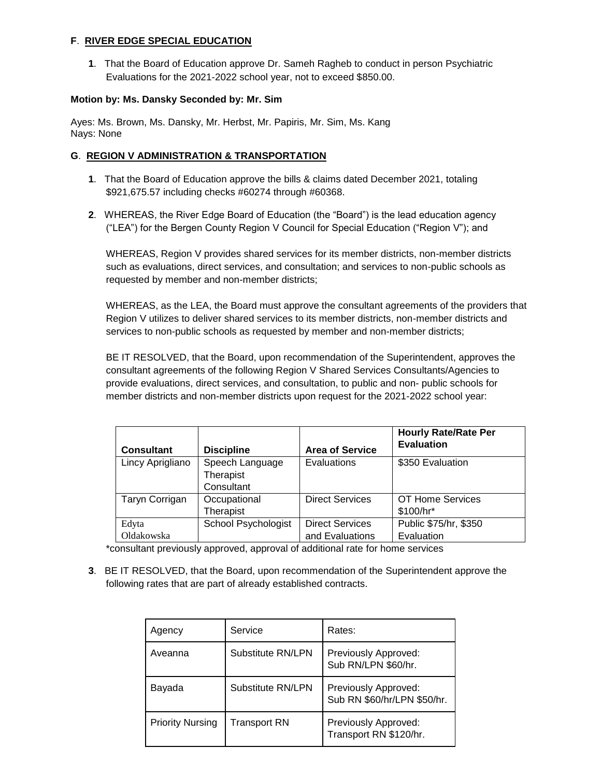### **F**. **RIVER EDGE SPECIAL EDUCATION**

**1**. That the Board of Education approve Dr. Sameh Ragheb to conduct in person Psychiatric Evaluations for the 2021-2022 school year, not to exceed \$850.00.

#### **Motion by: Ms. Dansky Seconded by: Mr. Sim**

Ayes: Ms. Brown, Ms. Dansky, Mr. Herbst, Mr. Papiris, Mr. Sim, Ms. Kang Nays: None

### **G**. **REGION V ADMINISTRATION & TRANSPORTATION**

- **1**. That the Board of Education approve the bills & claims dated December 2021, totaling \$921,675.57 including checks #60274 through #60368.
- **2**. WHEREAS, the River Edge Board of Education (the "Board") is the lead education agency ("LEA") for the Bergen County Region V Council for Special Education ("Region V"); and

WHEREAS, Region V provides shared services for its member districts, non-member districts such as evaluations, direct services, and consultation; and services to non-public schools as requested by member and non-member districts;

WHEREAS, as the LEA, the Board must approve the consultant agreements of the providers that Region V utilizes to deliver shared services to its member districts, non-member districts and services to non-public schools as requested by member and non-member districts;

BE IT RESOLVED, that the Board, upon recommendation of the Superintendent, approves the consultant agreements of the following Region V Shared Services Consultants/Agencies to provide evaluations, direct services, and consultation, to public and non- public schools for member districts and non-member districts upon request for the 2021-2022 school year:

| <b>Consultant</b>   | <b>Discipline</b>                          | <b>Area of Service</b>                    | <b>Hourly Rate/Rate Per</b><br><b>Evaluation</b> |
|---------------------|--------------------------------------------|-------------------------------------------|--------------------------------------------------|
| Lincy Aprigliano    | Speech Language<br>Therapist<br>Consultant | Evaluations                               | \$350 Evaluation                                 |
| Taryn Corrigan      | Occupational<br>Therapist                  | <b>Direct Services</b>                    | OT Home Services<br>\$100/hr*                    |
| Edyta<br>Oldakowska | <b>School Psychologist</b>                 | <b>Direct Services</b><br>and Evaluations | Public \$75/hr, \$350<br>Evaluation              |

\*consultant previously approved, approval of additional rate for home services

**3**. BE IT RESOLVED, that the Board, upon recommendation of the Superintendent approve the following rates that are part of already established contracts.

| Agency                  | Service           | Rates:                                              |
|-------------------------|-------------------|-----------------------------------------------------|
| Aveanna                 | Substitute RN/LPN | Previously Approved:<br>Sub RN/LPN \$60/hr.         |
| Bayada                  | Substitute RN/LPN | Previously Approved:<br>Sub RN \$60/hr/LPN \$50/hr. |
| <b>Priority Nursing</b> | Transport RN      | Previously Approved:<br>Transport RN \$120/hr.      |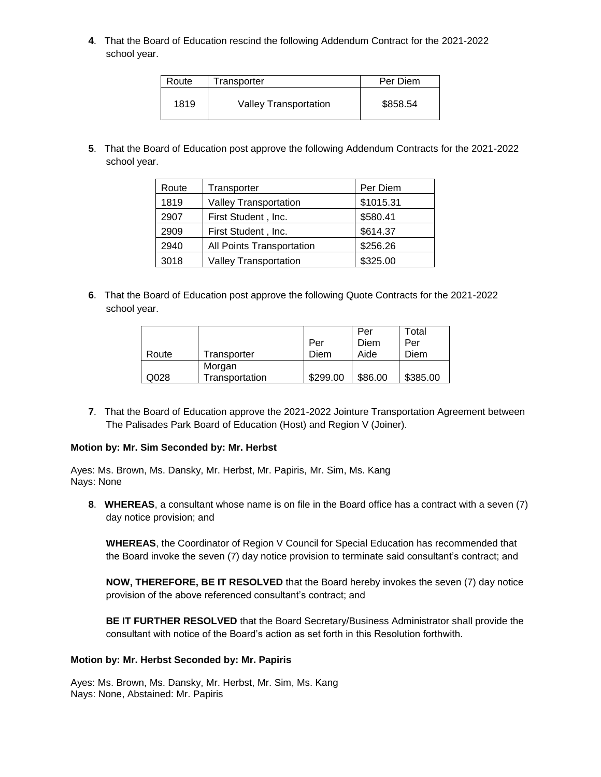**4**. That the Board of Education rescind the following Addendum Contract for the 2021-2022 school year.

| Route | Transporter                  | Per Diem |  |
|-------|------------------------------|----------|--|
| 1819  | <b>Valley Transportation</b> | \$858.54 |  |

**5**. That the Board of Education post approve the following Addendum Contracts for the 2021-2022 school year.

| Route | Transporter                  | Per Diem  |
|-------|------------------------------|-----------|
| 1819  | <b>Valley Transportation</b> | \$1015.31 |
| 2907  | First Student, Inc.          | \$580.41  |
| 2909  | First Student, Inc.          | \$614.37  |
| 2940  | All Points Transportation    | \$256.26  |
| 3018  | <b>Valley Transportation</b> | \$325.00  |

**6**. That the Board of Education post approve the following Quote Contracts for the 2021-2022 school year.

|       |                |          | Per     | Total    |
|-------|----------------|----------|---------|----------|
|       |                | Per      | Diem    | Per      |
| Route | Transporter    | Diem     | Aide    | Diem     |
|       | Morgan         |          |         |          |
| Q028  | Transportation | \$299.00 | \$86.00 | \$385.00 |

**7**. That the Board of Education approve the 2021-2022 Jointure Transportation Agreement between The Palisades Park Board of Education (Host) and Region V (Joiner).

#### **Motion by: Mr. Sim Seconded by: Mr. Herbst**

Ayes: Ms. Brown, Ms. Dansky, Mr. Herbst, Mr. Papiris, Mr. Sim, Ms. Kang Nays: None

**8**. **WHEREAS**, a consultant whose name is on file in the Board office has a contract with a seven (7) day notice provision; and

**WHEREAS**, the Coordinator of Region V Council for Special Education has recommended that the Board invoke the seven (7) day notice provision to terminate said consultant's contract; and

**NOW, THEREFORE, BE IT RESOLVED** that the Board hereby invokes the seven (7) day notice provision of the above referenced consultant's contract; and

**BE IT FURTHER RESOLVED** that the Board Secretary/Business Administrator shall provide the consultant with notice of the Board's action as set forth in this Resolution forthwith.

#### **Motion by: Mr. Herbst Seconded by: Mr. Papiris**

Ayes: Ms. Brown, Ms. Dansky, Mr. Herbst, Mr. Sim, Ms. Kang Nays: None, Abstained: Mr. Papiris